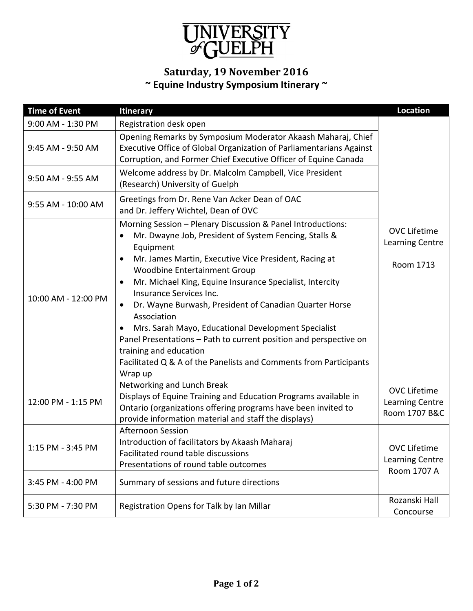

## **Saturday, 19 November 2016 ~ Equine Industry Symposium Itinerary ~**

| <b>Time of Event</b> | <b>Itinerary</b>                                                                                                                                                                                                                                                                                                                                                                                                                                                                                                                                                                                                                                                            | <b>Location</b>                                              |
|----------------------|-----------------------------------------------------------------------------------------------------------------------------------------------------------------------------------------------------------------------------------------------------------------------------------------------------------------------------------------------------------------------------------------------------------------------------------------------------------------------------------------------------------------------------------------------------------------------------------------------------------------------------------------------------------------------------|--------------------------------------------------------------|
| 9:00 AM - 1:30 PM    | Registration desk open                                                                                                                                                                                                                                                                                                                                                                                                                                                                                                                                                                                                                                                      |                                                              |
| 9:45 AM - 9:50 AM    | Opening Remarks by Symposium Moderator Akaash Maharaj, Chief<br>Executive Office of Global Organization of Parliamentarians Against<br>Corruption, and Former Chief Executive Officer of Equine Canada                                                                                                                                                                                                                                                                                                                                                                                                                                                                      |                                                              |
| 9:50 AM - 9:55 AM    | Welcome address by Dr. Malcolm Campbell, Vice President<br>(Research) University of Guelph                                                                                                                                                                                                                                                                                                                                                                                                                                                                                                                                                                                  |                                                              |
| 9:55 AM - 10:00 AM   | Greetings from Dr. Rene Van Acker Dean of OAC<br>and Dr. Jeffery Wichtel, Dean of OVC                                                                                                                                                                                                                                                                                                                                                                                                                                                                                                                                                                                       |                                                              |
| 10:00 AM - 12:00 PM  | Morning Session - Plenary Discussion & Panel Introductions:<br>Mr. Dwayne Job, President of System Fencing, Stalls &<br>٠<br>Equipment<br>Mr. James Martin, Executive Vice President, Racing at<br>$\bullet$<br><b>Woodbine Entertainment Group</b><br>Mr. Michael King, Equine Insurance Specialist, Intercity<br>٠<br>Insurance Services Inc.<br>Dr. Wayne Burwash, President of Canadian Quarter Horse<br>$\bullet$<br>Association<br>Mrs. Sarah Mayo, Educational Development Specialist<br>Panel Presentations - Path to current position and perspective on<br>training and education<br>Facilitated Q & A of the Panelists and Comments from Participants<br>Wrap up | <b>OVC Lifetime</b><br>Learning Centre<br>Room 1713          |
| 12:00 PM - 1:15 PM   | Networking and Lunch Break<br>Displays of Equine Training and Education Programs available in<br>Ontario (organizations offering programs have been invited to<br>provide information material and staff the displays)                                                                                                                                                                                                                                                                                                                                                                                                                                                      | <b>OVC Lifetime</b><br>Learning Centre<br>Room 1707 B&C      |
| 1:15 PM - 3:45 PM    | <b>Afternoon Session</b><br>Introduction of facilitators by Akaash Maharaj<br>Facilitated round table discussions<br>Presentations of round table outcomes                                                                                                                                                                                                                                                                                                                                                                                                                                                                                                                  | <b>OVC Lifetime</b><br><b>Learning Centre</b><br>Room 1707 A |
| 3:45 PM - 4:00 PM    | Summary of sessions and future directions                                                                                                                                                                                                                                                                                                                                                                                                                                                                                                                                                                                                                                   |                                                              |
| 5:30 PM - 7:30 PM    | Registration Opens for Talk by Ian Millar                                                                                                                                                                                                                                                                                                                                                                                                                                                                                                                                                                                                                                   | Rozanski Hall<br>Concourse                                   |